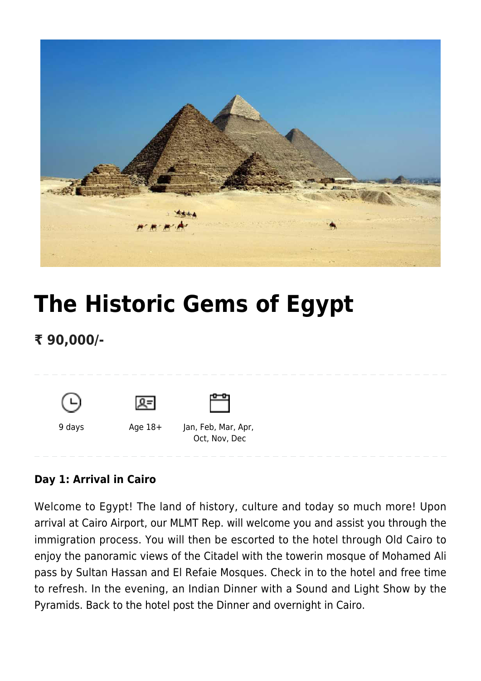

# **[The Historic Gems of Egypt](https://www.mylastminutetrip.com/tour/the-historic-gems-of-egypt/)**

## **₹ 90,000/-**





9 days Age 18+ Jan, Feb, Mar, Apr, Oct, Nov, Dec

#### **Day 1: Arrival in Cairo**

Welcome to Egypt! The land of history, culture and today so much more! Upon arrival at Cairo Airport, our MLMT Rep. will welcome you and assist you through the immigration process. You will then be escorted to the hotel through Old Cairo to enjoy the panoramic views of the Citadel with the towerin mosque of Mohamed Ali pass by Sultan Hassan and El Refaie Mosques. Check in to the hotel and free time to refresh. In the evening, an Indian Dinner with a Sound and Light Show by the Pyramids. Back to the hotel post the Dinner and overnight in Cairo.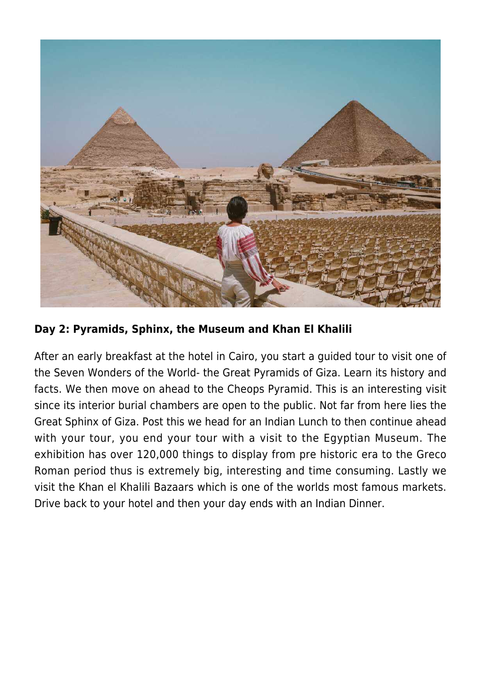

#### **Day 2: Pyramids, Sphinx, the Museum and Khan El Khalili**

After an early breakfast at the hotel in Cairo, you start a guided tour to visit one of the Seven Wonders of the World- the Great Pyramids of Giza. Learn its history and facts. We then move on ahead to the Cheops Pyramid. This is an interesting visit since its interior burial chambers are open to the public. Not far from here lies the Great Sphinx of Giza. Post this we head for an Indian Lunch to then continue ahead with your tour, you end your tour with a visit to the Egyptian Museum. The exhibition has over 120,000 things to display from pre historic era to the Greco Roman period thus is extremely big, interesting and time consuming. Lastly we visit the Khan el Khalili Bazaars which is one of the worlds most famous markets. Drive back to your hotel and then your day ends with an Indian Dinner.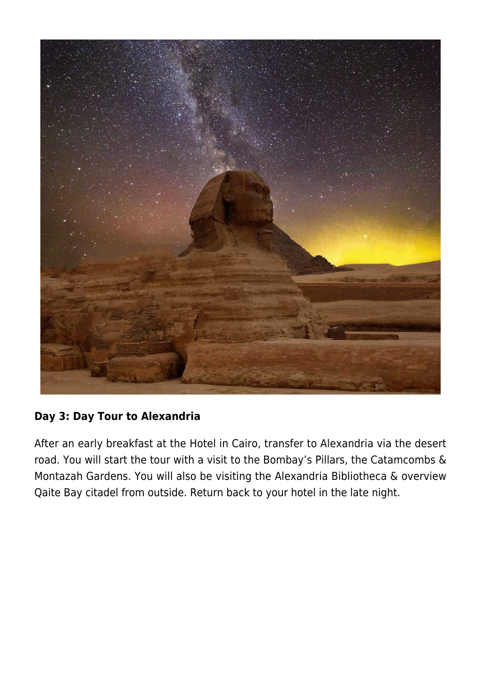

#### **Day 3: Day Tour to Alexandria**

After an early breakfast at the Hotel in Cairo, transfer to Alexandria via the desert road. You will start the tour with a visit to the Bombay's Pillars, the Catamcombs & Montazah Gardens. You will also be visiting the Alexandria Bibliotheca & overview Qaite Bay citadel from outside. Return back to your hotel in the late night.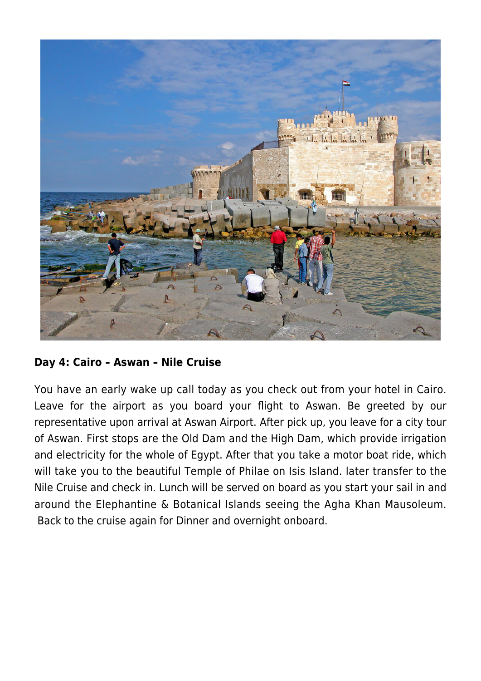

#### **Day 4: Cairo – Aswan – Nile Cruise**

You have an early wake up call today as you check out from your hotel in Cairo. Leave for the airport as you board your flight to Aswan. Be greeted by our representative upon arrival at Aswan Airport. After pick up, you leave for a city tour of Aswan. First stops are the Old Dam and the High Dam, which provide irrigation and electricity for the whole of Egypt. After that you take a motor boat ride, which will take you to the beautiful Temple of Philae on Isis Island. later transfer to the Nile Cruise and check in. Lunch will be served on board as you start your sail in and around the Elephantine & Botanical Islands seeing the Agha Khan Mausoleum. Back to the cruise again for Dinner and overnight onboard.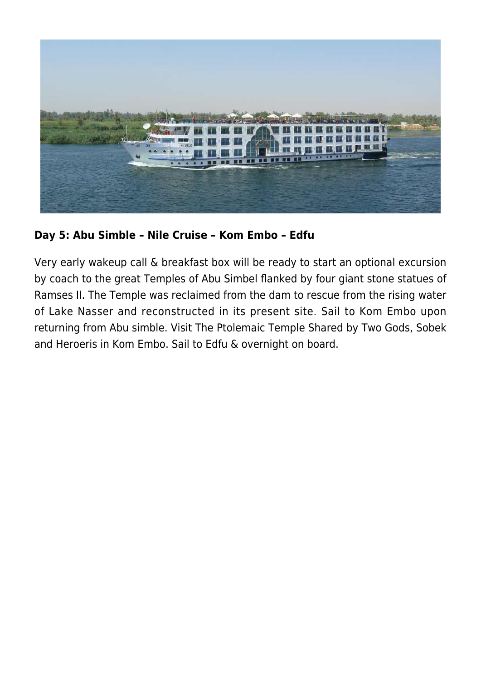

**Day 5: Abu Simble – Nile Cruise – Kom Embo – Edfu**

Very early wakeup call & breakfast box will be ready to start an optional excursion by coach to the great Temples of Abu Simbel flanked by four giant stone statues of Ramses II. The Temple was reclaimed from the dam to rescue from the rising water of Lake Nasser and reconstructed in its present site. Sail to Kom Embo upon returning from Abu simble. Visit The Ptolemaic Temple Shared by Two Gods, Sobek and Heroeris in Kom Embo. Sail to Edfu & overnight on board.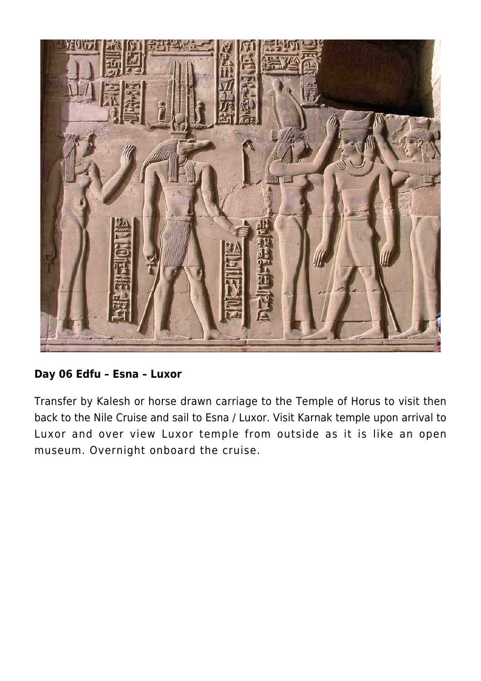

#### **Day 06 Edfu – Esna – Luxor**

Transfer by Kalesh or horse drawn carriage to the Temple of Horus to visit then back to the Nile Cruise and sail to Esna / Luxor. Visit Karnak temple upon arrival to Luxor and over view Luxor temple from outside as it is like an open museum. Overnight onboard the cruise.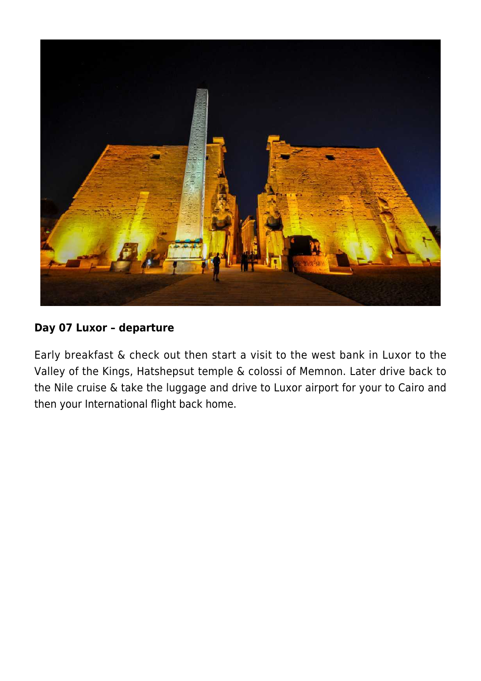

#### **Day 07 Luxor – departure**

Early breakfast & check out then start a visit to the west bank in Luxor to the Valley of the Kings, Hatshepsut temple & colossi of Memnon. Later drive back to the Nile cruise & take the luggage and drive to Luxor airport for your to Cairo and then your International flight back home.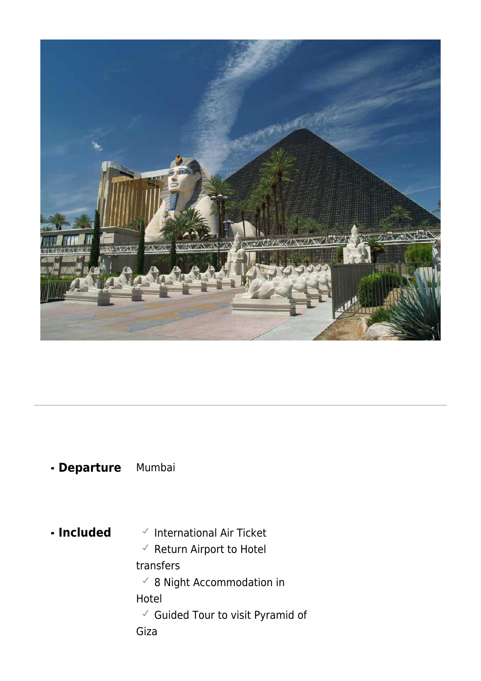

### **Departure** Mumbai

- **Included**  $\checkmark$  International Air Ticket
	- $\checkmark$  Return Airport to Hotel

#### transfers

 $\checkmark$  8 Night Accommodation in

#### Hotel

 $\checkmark$  Guided Tour to visit Pyramid of

Giza